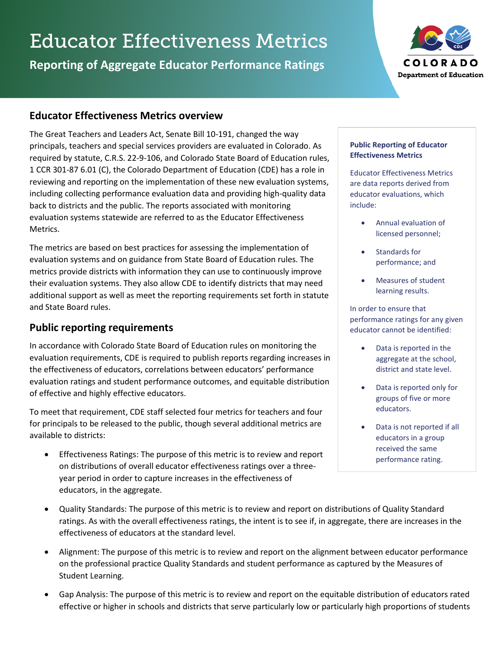# Educator Effectiveness Metrics

**Reporting of Aggregate Educator Performance Ratings**



# **Educator Effectiveness Metrics overview**

The Great Teachers and Leaders Act, Senate Bill 10-191, changed the way principals, teachers and special services providers are evaluated in Colorado. As required by statute, C.R.S. 22-9-106, and Colorado State Board of Education rules, 1 CCR 301-87 6.01 (C), the Colorado Department of Education (CDE) has a role in reviewing and reporting on the implementation of these new evaluation systems, including collecting performance evaluation data and providing high-quality data back to districts and the public. The reports associated with monitoring evaluation systems statewide are referred to as the Educator Effectiveness Metrics.

The metrics are based on best practices for assessing the implementation of evaluation systems and on guidance from State Board of Education rules. The metrics provide districts with information they can use to continuously improve their evaluation systems. They also allow CDE to identify districts that may need additional support as well as meet the reporting requirements set forth in statute and State Board rules.

# **Public reporting requirements**

In accordance with Colorado State Board of Education rules on monitoring the evaluation requirements, CDE is required to publish reports regarding increases in the effectiveness of educators, correlations between educators' performance evaluation ratings and student performance outcomes, and equitable distribution of effective and highly effective educators.

To meet that requirement, CDE staff selected four metrics for teachers and four for principals to be released to the public, though several additional metrics are available to districts:

• Effectiveness Ratings: The purpose of this metric is to review and report on distributions of overall educator effectiveness ratings over a threeyear period in order to capture increases in the effectiveness of educators, in the aggregate.

#### **Public Reporting of Educator Effectiveness Metrics**

Educator Effectiveness Metrics are data reports derived from educator evaluations, which include:

- Annual evaluation of licensed personnel;
- Standards for performance; and
- Measures of student learning results.

In order to ensure that performance ratings for any given educator cannot be identified:

- Data is reported in the aggregate at the school, district and state level.
- Data is reported only for groups of five or more educators.
- Data is not reported if all educators in a group received the same performance rating.
- Quality Standards: The purpose of this metric is to review and report on distributions of Quality Standard ratings. As with the overall effectiveness ratings, the intent is to see if, in aggregate, there are increases in the effectiveness of educators at the standard level.
- Alignment: The purpose of this metric is to review and report on the alignment between educator performance on the professional practice Quality Standards and student performance as captured by the Measures of Student Learning.
- Gap Analysis: The purpose of this metric is to review and report on the equitable distribution of educators rated effective or higher in schools and districts that serve particularly low or particularly high proportions of students